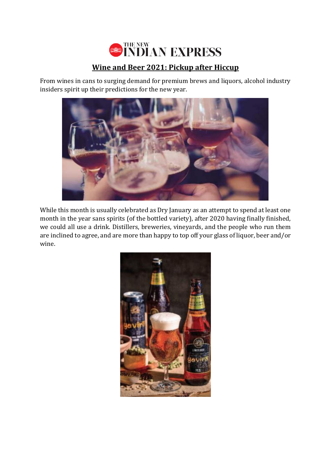

## **Wine and Beer 2021: Pickup after Hiccup**

From wines in cans to surging demand for premium brews and liquors, alcohol industry insiders spirit up their predictions for the new year.



While this month is usually celebrated as Dry January as an attempt to spend at least one month in the year sans spirits (of the bottled variety), after 2020 having finally finished, we could all use a drink. Distillers, breweries, vineyards, and the people who run them are inclined to agree, and are more than happy to top off your glass of liquor, beer and/or wine.

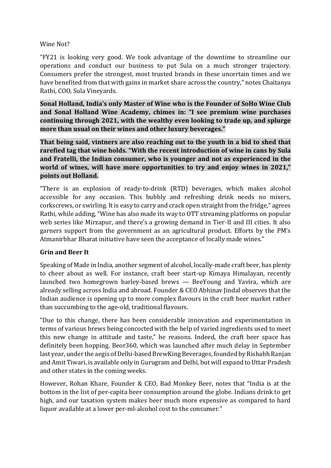## Wine Not?

"FY21 is looking very good. We took advantage of the downtime to streamline our operations and conduct our business to put Sula on a much stronger trajectory. Consumers prefer the strongest, most trusted brands in these uncertain times and we have benefited from that with gains in market share across the country," notes Chaitanya Rathi, COO, Sula Vineyards.

**Sonal Holland, India's only Master of Wine who is the Founder of SoHo Wine Club and Sonal Holland Wine Academy, chimes in: "I see premium wine purchases continuing through 2021, with the wealthy even looking to trade up, and splurge more than usual on their wines and other luxury beverages."**

**That being said, vintners are also reaching out to the youth in a bid to shed that rarefied tag that wine holds. "With the recent introduction of wine in cans by Sula and Fratelli, the Indian consumer, who is younger and not as experienced in the world of wines, will have more opportunities to try and enjoy wines in 2021," points out Holland.**

"There is an explosion of ready-to-drink (RTD) beverages, which makes alcohol accessible for any occasion. This bubbly and refreshing drink needs no mixers, corkscrews, or swirling. It is easy to carry and crack open straight from the fridge," agrees Rathi, while adding, "Wine has also made its way to OTT streaming platforms on popular web series like Mirzapur, and there's a growing demand in Tier-II and III cities. It also garners support from the government as an agricultural product. Efforts by the PM's Atmanirbhar Bharat initiative have seen the acceptance of locally made wines."

## **Grin and Beer It**

Speaking of Made in India, another segment of alcohol, locally-made craft beer, has plenty to cheer about as well. For instance, craft beer start-up Kimaya Himalayan, recently launched two homegrown barley-based brews — BeeYoung and Yavira, which are already selling across India and abroad. Founder & CEO Abhinav Jindal observes that the Indian audience is opening up to more complex flavours in the craft beer market rather than succumbing to the age-old, traditional flavours.

"Due to this change, there has been considerable innovation and experimentation in terms of various brews being concocted with the help of varied ingredients used to meet this new change in attitude and taste," he reasons. Indeed, the craft beer space has definitely been hopping. Beor360, which was launched after much delay in September last year, under the aegis of Delhi-based BrewKing Beverages, founded by Rishabh Ranjan and Amit Tiwari, is available only in Gurugram and Delhi, but will expand to Uttar Pradesh and other states in the coming weeks.

However, Rohan Khare, Founder & CEO, Bad Monkey Beer, notes that "India is at the bottom in the list of per-capita beer consumption around the globe. Indians drink to get high, and our taxation system makes beer much more expensive as compared to hard liquor available at a lower per-ml-alcohol cost to the consumer."